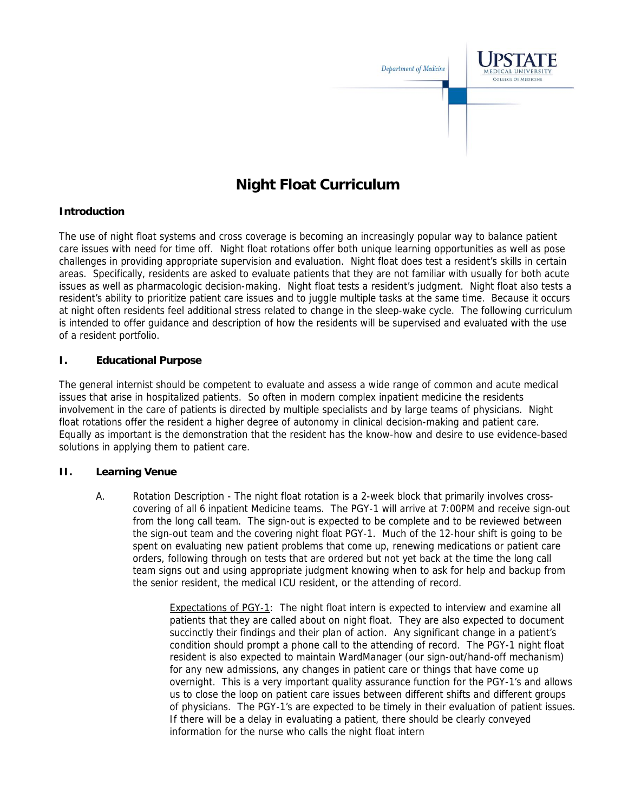

# **Night Float Curriculum**

## **Introduction**

The use of night float systems and cross coverage is becoming an increasingly popular way to balance patient care issues with need for time off. Night float rotations offer both unique learning opportunities as well as pose challenges in providing appropriate supervision and evaluation. Night float does test a resident's skills in certain areas. Specifically, residents are asked to evaluate patients that they are not familiar with usually for both acute issues as well as pharmacologic decision-making. Night float tests a resident's judgment. Night float also tests a resident's ability to prioritize patient care issues and to juggle multiple tasks at the same time. Because it occurs at night often residents feel additional stress related to change in the sleep-wake cycle. The following curriculum is intended to offer guidance and description of how the residents will be supervised and evaluated with the use of a resident portfolio.

## **I. Educational Purpose**

The general internist should be competent to evaluate and assess a wide range of common and acute medical issues that arise in hospitalized patients. So often in modern complex inpatient medicine the residents involvement in the care of patients is directed by multiple specialists and by large teams of physicians. Night float rotations offer the resident a higher degree of autonomy in clinical decision-making and patient care. Equally as important is the demonstration that the resident has the know-how and desire to use evidence-based solutions in applying them to patient care.

## **II. Learning Venue**

A. Rotation Description - The night float rotation is a 2-week block that primarily involves crosscovering of all 6 inpatient Medicine teams. The PGY-1 will arrive at 7:00PM and receive sign-out from the long call team. The sign-out is expected to be complete and to be reviewed between the sign-out team and the covering night float PGY-1. Much of the 12-hour shift is going to be spent on evaluating new patient problems that come up, renewing medications or patient care orders, following through on tests that are ordered but not yet back at the time the long call team signs out and using appropriate judgment knowing when to ask for help and backup from the senior resident, the medical ICU resident, or the attending of record.

> Expectations of PGY-1: The night float intern is expected to interview and examine all patients that they are called about on night float. They are also expected to document succinctly their findings and their plan of action. Any significant change in a patient's condition should prompt a phone call to the attending of record. The PGY-1 night float resident is also expected to maintain WardManager (our sign-out/hand-off mechanism) for any new admissions, any changes in patient care or things that have come up overnight. This is a very important quality assurance function for the PGY-1's and allows us to close the loop on patient care issues between different shifts and different groups of physicians. The PGY-1's are expected to be timely in their evaluation of patient issues. If there will be a delay in evaluating a patient, there should be clearly conveyed information for the nurse who calls the night float intern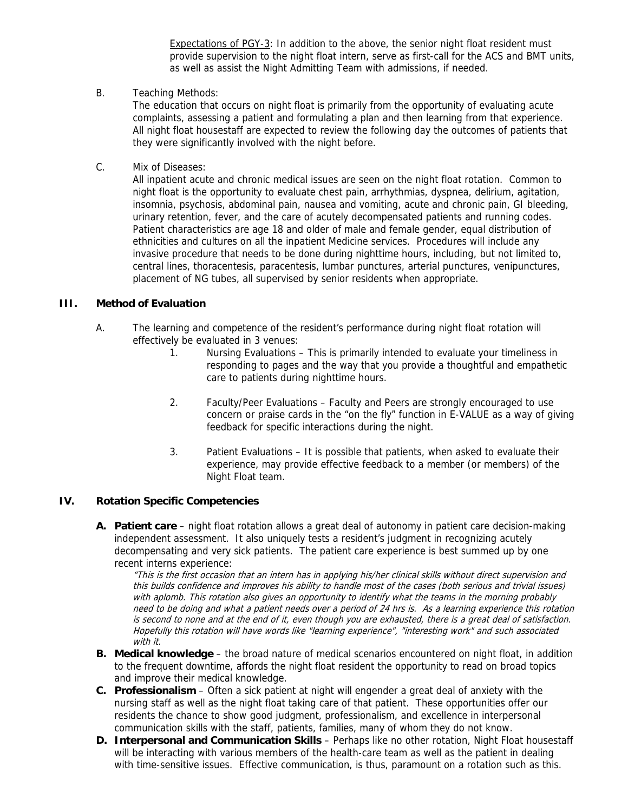Expectations of PGY-3: In addition to the above, the senior night float resident must provide supervision to the night float intern, serve as first-call for the ACS and BMT units, as well as assist the Night Admitting Team with admissions, if needed.

B. Teaching Methods:

The education that occurs on night float is primarily from the opportunity of evaluating acute complaints, assessing a patient and formulating a plan and then learning from that experience. All night float housestaff are expected to review the following day the outcomes of patients that they were significantly involved with the night before.

C. Mix of Diseases:

All inpatient acute and chronic medical issues are seen on the night float rotation. Common to night float is the opportunity to evaluate chest pain, arrhythmias, dyspnea, delirium, agitation, insomnia, psychosis, abdominal pain, nausea and vomiting, acute and chronic pain, GI bleeding, urinary retention, fever, and the care of acutely decompensated patients and running codes. Patient characteristics are age 18 and older of male and female gender, equal distribution of ethnicities and cultures on all the inpatient Medicine services. Procedures will include any invasive procedure that needs to be done during nighttime hours, including, but not limited to, central lines, thoracentesis, paracentesis, lumbar punctures, arterial punctures, venipunctures, placement of NG tubes, all supervised by senior residents when appropriate.

### **III. Method of Evaluation**

- A. The learning and competence of the resident's performance during night float rotation will effectively be evaluated in 3 venues:
	- 1. Nursing Evaluations This is primarily intended to evaluate your timeliness in responding to pages and the way that you provide a thoughtful and empathetic care to patients during nighttime hours.
	- 2. Faculty/Peer Evaluations Faculty and Peers are strongly encouraged to use concern or praise cards in the "on the fly" function in E-VALUE as a way of giving feedback for specific interactions during the night.
	- 3. Patient Evaluations It is possible that patients, when asked to evaluate their experience, may provide effective feedback to a member (or members) of the Night Float team.

## **IV. Rotation Specific Competencies**

**A. Patient care** – night float rotation allows a great deal of autonomy in patient care decision-making independent assessment. It also uniquely tests a resident's judgment in recognizing acutely decompensating and very sick patients. The patient care experience is best summed up by one recent interns experience:

"This is the first occasion that an intern has in applying his/her clinical skills without direct supervision and this builds confidence and improves his ability to handle most of the cases (both serious and trivial issues) with aplomb. This rotation also gives an opportunity to identify what the teams in the morning probably need to be doing and what a patient needs over a period of 24 hrs is. As a learning experience this rotation is second to none and at the end of it, even though you are exhausted, there is a great deal of satisfaction. Hopefully this rotation will have words like "learning experience", "interesting work" and such associated with it.

- **B. Medical knowledge**  the broad nature of medical scenarios encountered on night float, in addition to the frequent downtime, affords the night float resident the opportunity to read on broad topics and improve their medical knowledge.
- **C. Professionalism**  Often a sick patient at night will engender a great deal of anxiety with the nursing staff as well as the night float taking care of that patient. These opportunities offer our residents the chance to show good judgment, professionalism, and excellence in interpersonal communication skills with the staff, patients, families, many of whom they do not know.
- **D. Interpersonal and Communication Skills** Perhaps like no other rotation, Night Float housestaff will be interacting with various members of the health-care team as well as the patient in dealing with time-sensitive issues. Effective communication, is thus, paramount on a rotation such as this.